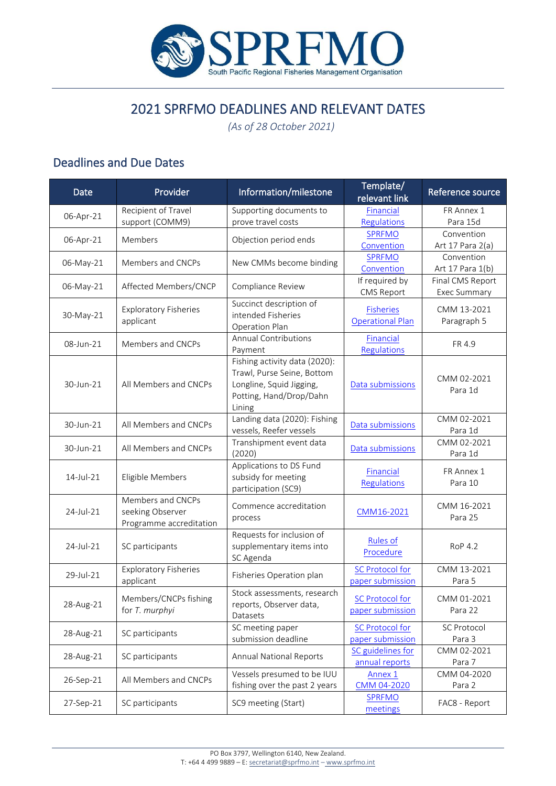

## 2021 SPRFMO DEADLINES AND RELEVANT DATES

*(As of 28 October 2021)*

## Deadlines and Due Dates

| Date      | Provider                                                         | Information/milestone                                                                                                        | Template/<br>relevant link                  | Reference source                        |
|-----------|------------------------------------------------------------------|------------------------------------------------------------------------------------------------------------------------------|---------------------------------------------|-----------------------------------------|
|           | Recipient of Travel                                              | Supporting documents to                                                                                                      | Financial                                   | FR Annex 1                              |
| 06-Apr-21 | support (COMM9)                                                  | prove travel costs                                                                                                           | Regulations                                 | Para 15d                                |
| 06-Apr-21 | Members                                                          | Objection period ends                                                                                                        | <b>SPRFMO</b>                               | Convention                              |
|           |                                                                  |                                                                                                                              | Convention                                  | Art 17 Para 2(a)                        |
| 06-May-21 | Members and CNCPs                                                | New CMMs become binding                                                                                                      | <b>SPRFMO</b>                               | Convention                              |
|           |                                                                  |                                                                                                                              | Convention                                  | Art 17 Para 1(b)                        |
| 06-May-21 | Affected Members/CNCP                                            | Compliance Review                                                                                                            | If required by<br><b>CMS Report</b>         | Final CMS Report<br><b>Exec Summary</b> |
| 30-May-21 | <b>Exploratory Fisheries</b><br>applicant                        | Succinct description of<br>intended Fisheries<br>Operation Plan                                                              | <b>Fisheries</b><br><b>Operational Plan</b> | CMM 13-2021<br>Paragraph 5              |
| 08-Jun-21 | Members and CNCPs                                                | <b>Annual Contributions</b><br>Payment                                                                                       | Financial<br>Regulations                    | FR 4.9                                  |
| 30-Jun-21 | All Members and CNCPs                                            | Fishing activity data (2020):<br>Trawl, Purse Seine, Bottom<br>Longline, Squid Jigging,<br>Potting, Hand/Drop/Dahn<br>Lining | Data submissions                            | CMM 02-2021<br>Para 1d                  |
| 30-Jun-21 | All Members and CNCPs                                            | Landing data (2020): Fishing<br>vessels, Reefer vessels                                                                      | Data submissions                            | CMM 02-2021<br>Para 1d                  |
| 30-Jun-21 | All Members and CNCPs                                            | Transhipment event data<br>(2020)                                                                                            | Data submissions                            | CMM 02-2021<br>Para 1d                  |
| 14-Jul-21 | Eligible Members                                                 | Applications to DS Fund<br>subsidy for meeting<br>participation (SC9)                                                        | Financial<br>Regulations                    | FR Annex 1<br>Para 10                   |
| 24-Jul-21 | Members and CNCPs<br>seeking Observer<br>Programme accreditation | Commence accreditation<br>process                                                                                            | CMM16-2021                                  | CMM 16-2021<br>Para 25                  |
| 24-Jul-21 | SC participants                                                  | Requests for inclusion of<br>supplementary items into<br>SC Agenda                                                           | <b>Rules of</b><br>Procedure                | <b>RoP 4.2</b>                          |
| 29-Jul-21 | <b>Exploratory Fisheries</b><br>applicant                        | Fisheries Operation plan                                                                                                     | <b>SC Protocol for</b><br>paper submission  | CMM 13-2021<br>Para 5                   |
| 28-Aug-21 | Members/CNCPs fishing<br>for T. murphyi                          | Stock assessments, research<br>reports, Observer data,<br>Datasets                                                           | <b>SC Protocol for</b><br>paper submission  | CMM 01-2021<br>Para 22                  |
| 28-Aug-21 | SC participants                                                  | SC meeting paper<br>submission deadline                                                                                      | <b>SC Protocol for</b><br>paper submission  | <b>SC Protocol</b><br>Para 3            |
| 28-Aug-21 | SC participants                                                  | <b>Annual National Reports</b>                                                                                               | SC guidelines for<br>annual reports         | CMM 02-2021<br>Para 7                   |
| 26-Sep-21 | All Members and CNCPs                                            | Vessels presumed to be IUU<br>fishing over the past 2 years                                                                  | Annex 1<br>CMM 04-2020                      | CMM 04-2020<br>Para 2                   |
| 27-Sep-21 | SC participants                                                  | SC9 meeting (Start)                                                                                                          | <b>SPRFMO</b><br>meetings                   | FAC8 - Report                           |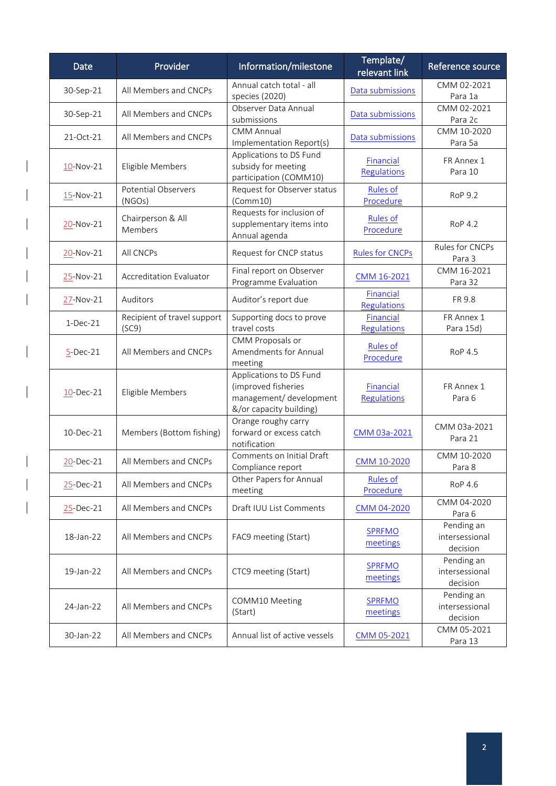| <b>Date</b>  | Provider                             | Information/milestone                                                                                | Template/<br>relevant link      | Reference source                         |
|--------------|--------------------------------------|------------------------------------------------------------------------------------------------------|---------------------------------|------------------------------------------|
| 30-Sep-21    | All Members and CNCPs                | Annual catch total - all<br>species (2020)                                                           | Data submissions                | CMM 02-2021<br>Para 1a                   |
| 30-Sep-21    | All Members and CNCPs                | Observer Data Annual<br>submissions                                                                  | Data submissions                | CMM 02-2021<br>Para 2c                   |
| 21-Oct-21    | All Members and CNCPs                | <b>CMM Annual</b><br>Implementation Report(s)                                                        | Data submissions                | CMM 10-2020<br>Para 5a                   |
| $10$ -Nov-21 | Eligible Members                     | Applications to DS Fund<br>subsidy for meeting<br>participation (COMM10)                             | Financial<br><b>Regulations</b> | FR Annex 1<br>Para 10                    |
| 15-Nov-21    | Potential Observers<br>(NGOs)        | Request for Observer status<br>(Comm10)                                                              | <b>Rules of</b><br>Procedure    | <b>RoP 9.2</b>                           |
| 20-Nov-21    | Chairperson & All<br>Members         | Requests for inclusion of<br>supplementary items into<br>Annual agenda                               | <b>Rules of</b><br>Procedure    | <b>RoP 4.2</b>                           |
| 20-Nov-21    | All CNCPs                            | Request for CNCP status                                                                              | <b>Rules for CNCPs</b>          | Rules for CNCPs<br>Para 3                |
| 25-Nov-21    | <b>Accreditation Evaluator</b>       | Final report on Observer<br>Programme Evaluation                                                     | CMM 16-2021                     | CMM 16-2021<br>Para 32                   |
| 27-Nov-21    | Auditors                             | Auditor's report due                                                                                 | Financial<br><b>Regulations</b> | FR 9.8                                   |
| $1-Dec-21$   | Recipient of travel support<br>(SC9) | Supporting docs to prove<br>travel costs                                                             | Financial<br><b>Regulations</b> | FR Annex 1<br>Para 15d)                  |
| $5$ -Dec-21  | All Members and CNCPs                | CMM Proposals or<br>Amendments for Annual<br>meeting                                                 | <b>Rules of</b><br>Procedure    | <b>RoP 4.5</b>                           |
| $10$ -Dec-21 | Eligible Members                     | Applications to DS Fund<br>(improved fisheries<br>management/ development<br>&/or capacity building) | Financial<br><b>Regulations</b> | FR Annex 1<br>Para 6                     |
| 10-Dec-21    | Members (Bottom fishing)             | Orange roughy carry<br>forward or excess catch<br>notification                                       | CMM 03a-2021                    | CMM 03a-2021<br>Para 21                  |
| 20-Dec-21    | All Members and CNCPs                | Comments on Initial Draft<br>Compliance report                                                       | CMM 10-2020                     | CMM 10-2020<br>Para 8                    |
| 25-Dec-21    | All Members and CNCPs                | Other Papers for Annual<br>meeting                                                                   | <b>Rules of</b><br>Procedure    | <b>RoP 4.6</b>                           |
| 25-Dec-21    | All Members and CNCPs                | Draft IUU List Comments                                                                              | CMM 04-2020                     | CMM 04-2020<br>Para 6                    |
| 18-Jan-22    | All Members and CNCPs                | FAC9 meeting (Start)                                                                                 | <b>SPRFMO</b><br>meetings       | Pending an<br>intersessional<br>decision |
| 19-Jan-22    | All Members and CNCPs                | CTC9 meeting (Start)                                                                                 | <b>SPRFMO</b><br>meetings       | Pending an<br>intersessional<br>decision |
| 24-Jan-22    | All Members and CNCPs                | COMM10 Meeting<br>(Start)                                                                            | <b>SPRFMO</b><br>meetings       | Pending an<br>intersessional<br>decision |
| 30-Jan-22    | All Members and CNCPs                | Annual list of active vessels                                                                        | CMM 05-2021                     | CMM 05-2021<br>Para 13                   |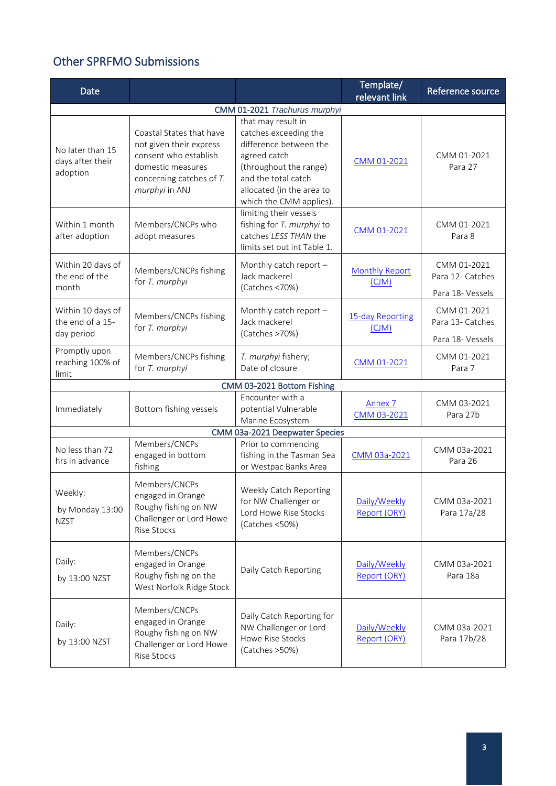## Other SPRFMO Submissions

| Date                                                |                                                                                                                                                 |                                                                                                                                                                                                | Template/<br>relevant link        | Reference source                                    |
|-----------------------------------------------------|-------------------------------------------------------------------------------------------------------------------------------------------------|------------------------------------------------------------------------------------------------------------------------------------------------------------------------------------------------|-----------------------------------|-----------------------------------------------------|
| CMM 01-2021 Trachurus murphyi                       |                                                                                                                                                 |                                                                                                                                                                                                |                                   |                                                     |
| No later than 15<br>days after their<br>adoption    | Coastal States that have<br>not given their express<br>consent who establish<br>domestic measures<br>concerning catches of T.<br>murphyi in ANJ | that may result in<br>catches exceeding the<br>difference between the<br>agreed catch<br>(throughout the range)<br>and the total catch<br>allocated (in the area to<br>which the CMM applies). | CMM 01-2021                       | CMM 01-2021<br>Para 27                              |
| Within 1 month<br>after adoption                    | Members/CNCPs who<br>adopt measures                                                                                                             | limiting their vessels<br>fishing for T. murphyi to<br>catches LESS THAN the<br>limits set out int Table 1.                                                                                    | CMM 01-2021                       | CMM 01-2021<br>Para 8                               |
| Within 20 days of<br>the end of the<br>month        | Members/CNCPs fishing<br>for T. murphyi                                                                                                         | Monthly catch report -<br>Jack mackerel<br>(Catches <70%)                                                                                                                                      | <b>Monthly Report</b><br>(CJM)    | CMM 01-2021<br>Para 12- Catches<br>Para 18- Vessels |
| Within 10 days of<br>the end of a 15-<br>day period | Members/CNCPs fishing<br>for T. murphyi                                                                                                         | Monthly catch report -<br>Jack mackerel<br>(Catches >70%)                                                                                                                                      | 15-day Reporting<br>(CJM)         | CMM 01-2021<br>Para 13- Catches<br>Para 18- Vessels |
| Promptly upon<br>reaching 100% of<br>limit          | Members/CNCPs fishing<br>for T. murphyi                                                                                                         | T. murphyi fishery;<br>Date of closure                                                                                                                                                         | CMM 01-2021                       | CMM 01-2021<br>Para 7                               |
|                                                     |                                                                                                                                                 | CMM 03-2021 Bottom Fishing                                                                                                                                                                     |                                   |                                                     |
| Immediately                                         | Bottom fishing vessels                                                                                                                          | Encounter with a<br>potential Vulnerable<br>Marine Ecosystem                                                                                                                                   | Annex <sub>7</sub><br>CMM 03-2021 | CMM 03-2021<br>Para 27b                             |
|                                                     |                                                                                                                                                 | CMM 03a-2021 Deepwater Species                                                                                                                                                                 |                                   |                                                     |
| No less than 72<br>hrs in advance                   | Members/CNCPs<br>engaged in bottom<br>fishing                                                                                                   | Prior to commencing<br>fishing in the Tasman Sea<br>or Westpac Banks Area                                                                                                                      | CMM 03a-2021                      | CMM 03a-2021<br>Para 26                             |
| Weekly:<br>by Monday 13:00<br><b>NZST</b>           | Members/CNCPs<br>engaged in Orange<br>Roughy fishing on NW<br>Challenger or Lord Howe<br>Rise Stocks                                            | Weekly Catch Reporting<br>for NW Challenger or<br>Lord Howe Rise Stocks<br>(Catches <50%)                                                                                                      | Daily/Weekly<br>Report (ORY)      | CMM 03a-2021<br>Para 17a/28                         |
| Daily:<br>by 13:00 NZST                             | Members/CNCPs<br>engaged in Orange<br>Roughy fishing on the<br>West Norfolk Ridge Stock                                                         | Daily Catch Reporting                                                                                                                                                                          | Daily/Weekly<br>Report (ORY)      | CMM 03a-2021<br>Para 18a                            |
| Daily:<br>by 13:00 NZST                             | Members/CNCPs<br>engaged in Orange<br>Roughy fishing on NW<br>Challenger or Lord Howe<br>Rise Stocks                                            | Daily Catch Reporting for<br>NW Challenger or Lord<br>Howe Rise Stocks<br>(Catches > 50%)                                                                                                      | Daily/Weekly<br>Report (ORY)      | CMM 03a-2021<br>Para 17b/28                         |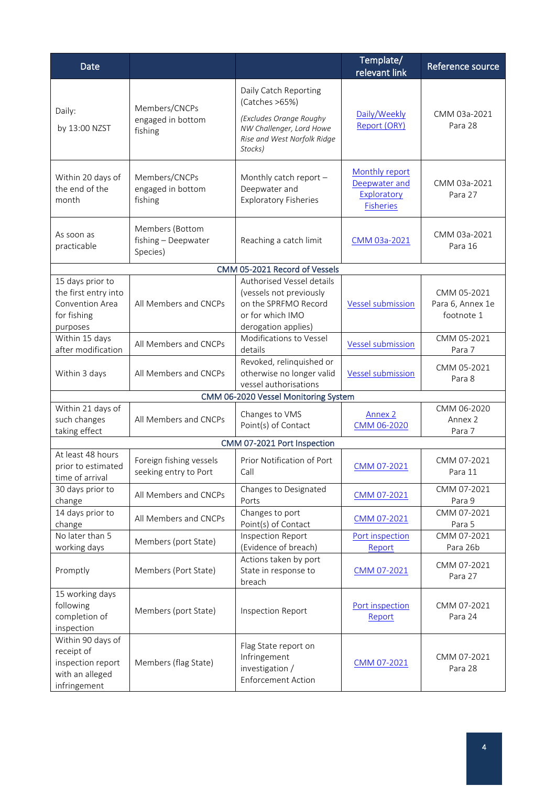| <b>Date</b>                                                                             |                                                    |                                                                                                                                          | Template/<br>relevant link                                         | Reference source                              |
|-----------------------------------------------------------------------------------------|----------------------------------------------------|------------------------------------------------------------------------------------------------------------------------------------------|--------------------------------------------------------------------|-----------------------------------------------|
| Daily:<br>by 13:00 NZST                                                                 | Members/CNCPs<br>engaged in bottom<br>fishing      | Daily Catch Reporting<br>(Catches >65%)<br>(Excludes Orange Roughy<br>NW Challenger, Lord Howe<br>Rise and West Norfolk Ridge<br>Stocks) | Daily/Weekly<br>Report (ORY)                                       | CMM 03a-2021<br>Para 28                       |
| Within 20 days of<br>the end of the<br>month                                            | Members/CNCPs<br>engaged in bottom<br>fishing      | Monthly catch report -<br>Deepwater and<br><b>Exploratory Fisheries</b>                                                                  | Monthly report<br>Deepwater and<br>Exploratory<br><b>Fisheries</b> | CMM 03a-2021<br>Para 27                       |
| As soon as<br>practicable                                                               | Members (Bottom<br>fishing - Deepwater<br>Species) | Reaching a catch limit                                                                                                                   | CMM 03a-2021                                                       | CMM 03a-2021<br>Para 16                       |
|                                                                                         |                                                    | CMM 05-2021 Record of Vessels                                                                                                            |                                                                    |                                               |
| 15 days prior to<br>the first entry into<br>Convention Area<br>for fishing<br>purposes  | All Members and CNCPs                              | Authorised Vessel details<br>(vessels not previously<br>on the SPRFMO Record<br>or for which IMO<br>derogation applies)                  | <b>Vessel submission</b>                                           | CMM 05-2021<br>Para 6, Annex 1e<br>footnote 1 |
| Within 15 days<br>after modification                                                    | All Members and CNCPs                              | Modifications to Vessel<br>details                                                                                                       | <b>Vessel submission</b>                                           | CMM 05-2021<br>Para 7                         |
| Within 3 days                                                                           | All Members and CNCPs                              | Revoked, relinquished or<br>otherwise no longer valid<br>vessel authorisations                                                           | <b>Vessel submission</b>                                           | CMM 05-2021<br>Para 8                         |
|                                                                                         |                                                    | CMM 06-2020 Vessel Monitoring System                                                                                                     |                                                                    |                                               |
| Within 21 days of<br>such changes<br>taking effect                                      | All Members and CNCPs                              | Changes to VMS<br>Point(s) of Contact                                                                                                    | <b>Annex 2</b><br>CMM 06-2020                                      | CMM 06-2020<br>Annex 2<br>Para 7              |
|                                                                                         |                                                    | CMM 07-2021 Port Inspection                                                                                                              |                                                                    |                                               |
| At least 48 hours<br>prior to estimated<br>time of arrival                              | Foreign fishing vessels<br>seeking entry to Port   | Prior Notification of Port<br>Call                                                                                                       | CMM 07-2021                                                        | CMM 07-2021<br>Para 11                        |
| 30 days prior to<br>change                                                              | All Members and CNCPs                              | Changes to Designated<br>Ports                                                                                                           | CMM 07-2021                                                        | CMM 07-2021<br>Para 9                         |
| 14 days prior to<br>change                                                              | All Members and CNCPs                              | Changes to port<br>Point(s) of Contact                                                                                                   | CMM 07-2021                                                        | CMM 07-2021<br>Para 5                         |
| No later than 5<br>working days                                                         | Members (port State)                               | Inspection Report<br>(Evidence of breach)                                                                                                | Port inspection<br>Report                                          | CMM 07-2021<br>Para 26b                       |
| Promptly                                                                                | Members (Port State)                               | Actions taken by port<br>State in response to<br>breach                                                                                  | CMM 07-2021                                                        | CMM 07-2021<br>Para 27                        |
| 15 working days<br>following<br>completion of<br>inspection                             | Members (port State)                               | Inspection Report                                                                                                                        | Port inspection<br>Report                                          | CMM 07-2021<br>Para 24                        |
| Within 90 days of<br>receipt of<br>inspection report<br>with an alleged<br>infringement | Members (flag State)                               | Flag State report on<br>Infringement<br>investigation /<br><b>Enforcement Action</b>                                                     | CMM 07-2021                                                        | CMM 07-2021<br>Para 28                        |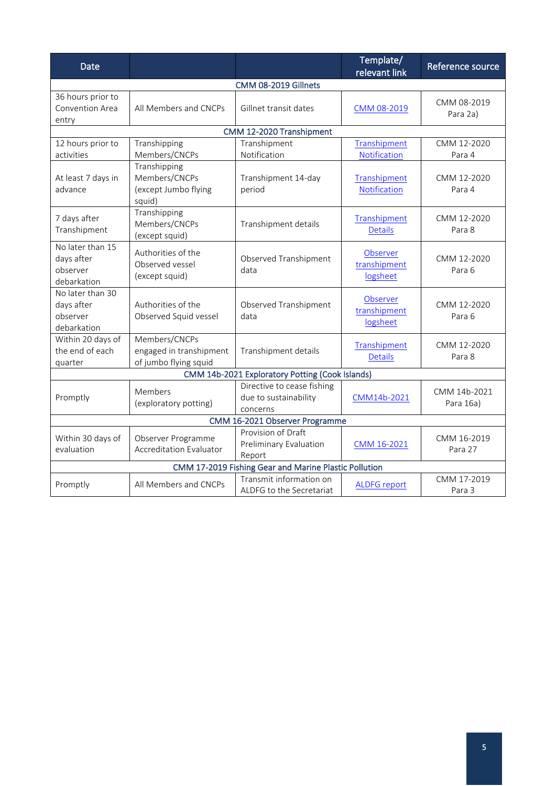| <b>Date</b>                                               |                                                                   |                                                                 | Template/<br>relevant link           | Reference source          |
|-----------------------------------------------------------|-------------------------------------------------------------------|-----------------------------------------------------------------|--------------------------------------|---------------------------|
|                                                           |                                                                   | CMM 08-2019 Gillnets                                            |                                      |                           |
| 36 hours prior to<br>Convention Area<br>entry             | All Members and CNCPs                                             | Gillnet transit dates                                           | CMM 08-2019                          | CMM 08-2019<br>Para 2a)   |
|                                                           |                                                                   | CMM 12-2020 Transhipment                                        |                                      |                           |
| 12 hours prior to<br>activities                           | Transhipping<br>Members/CNCPs                                     | Transhipment<br>Notification                                    | Transhipment<br>Notification         | CMM 12-2020<br>Para 4     |
| At least 7 days in<br>advance                             | Transhipping<br>Members/CNCPs<br>(except Jumbo flying<br>squid)   | Transhipment 14-day<br>period                                   | Transhipment<br>Notification         | CMM 12-2020<br>Para 4     |
| 7 days after<br>Transhipment                              | Transhipping<br>Members/CNCPs<br>(except squid)                   | Transhipment details                                            | Transhipment<br><b>Details</b>       | CMM 12-2020<br>Para 8     |
| No later than 15<br>days after<br>observer<br>debarkation | Authorities of the<br>Observed vessel<br>(except squid)           | Observed Transhipment<br>data                                   | Observer<br>transhipment<br>logsheet | CMM 12-2020<br>Para 6     |
| No later than 30<br>days after<br>observer<br>debarkation | Authorities of the<br>Observed Squid vessel                       | Observed Transhipment<br>data                                   | Observer<br>transhipment<br>logsheet | CMM 12-2020<br>Para 6     |
| Within 20 days of<br>the end of each<br>quarter           | Members/CNCPs<br>engaged in transhipment<br>of jumbo flying squid | Transhipment details                                            | Transhipment<br><b>Details</b>       | CMM 12-2020<br>Para 8     |
|                                                           |                                                                   | CMM 14b-2021 Exploratory Potting (Cook Islands)                 |                                      |                           |
| Promptly                                                  | Members<br>(exploratory potting)                                  | Directive to cease fishing<br>due to sustainability<br>concerns | CMM14b-2021                          | CMM 14b-2021<br>Para 16a) |
| CMM 16-2021 Observer Programme                            |                                                                   |                                                                 |                                      |                           |
| Within 30 days of<br>evaluation                           | Observer Programme<br><b>Accreditation Evaluator</b>              | Provision of Draft<br>Preliminary Evaluation<br>Report          | CMM 16-2021                          | CMM 16-2019<br>Para 27    |
| CMM 17-2019 Fishing Gear and Marine Plastic Pollution     |                                                                   |                                                                 |                                      |                           |
| Promptly                                                  | All Members and CNCPs                                             | Transmit information on<br>ALDFG to the Secretariat             | <b>ALDFG report</b>                  | CMM 17-2019<br>Para 3     |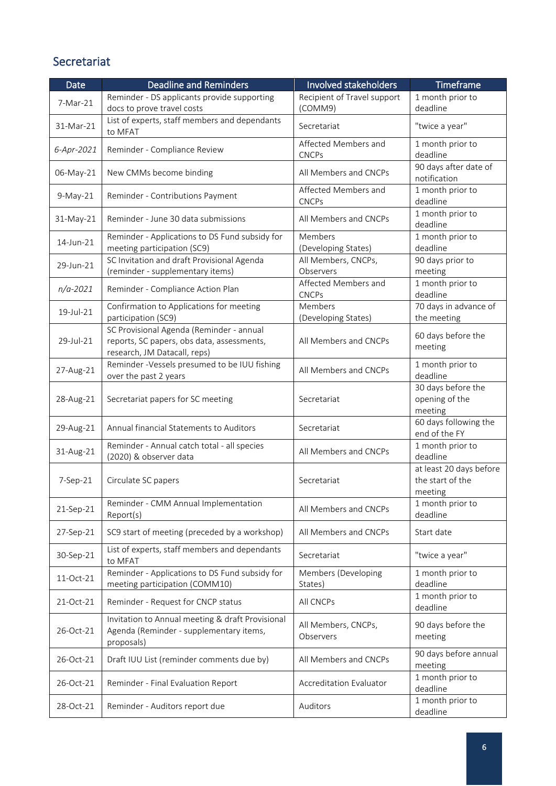## Secretariat

| Date         | <b>Deadline and Reminders</b>                                                                                          | Involved stakeholders                  | Timeframe                                              |
|--------------|------------------------------------------------------------------------------------------------------------------------|----------------------------------------|--------------------------------------------------------|
| 7-Mar-21     | Reminder - DS applicants provide supporting<br>docs to prove travel costs                                              | Recipient of Travel support<br>(COMM9) | 1 month prior to<br>deadline                           |
| 31-Mar-21    | List of experts, staff members and dependants<br>to MFAT                                                               | Secretariat                            | "twice a year"                                         |
| 6-Apr-2021   | Reminder - Compliance Review                                                                                           | Affected Members and<br><b>CNCPs</b>   | 1 month prior to<br>deadline                           |
| 06-May-21    | New CMMs become binding                                                                                                | All Members and CNCPs                  | 90 days after date of<br>notification                  |
| $9-May-21$   | Reminder - Contributions Payment                                                                                       | Affected Members and<br><b>CNCPs</b>   | 1 month prior to<br>deadline                           |
| 31-May-21    | Reminder - June 30 data submissions                                                                                    | All Members and CNCPs                  | 1 month prior to<br>deadline                           |
| 14-Jun-21    | Reminder - Applications to DS Fund subsidy for<br>meeting participation (SC9)                                          | Members<br>(Developing States)         | 1 month prior to<br>deadline                           |
| 29-Jun-21    | SC Invitation and draft Provisional Agenda<br>(reminder - supplementary items)                                         | All Members, CNCPs,<br>Observers       | 90 days prior to<br>meeting                            |
| $n/a - 2021$ | Reminder - Compliance Action Plan                                                                                      | Affected Members and<br><b>CNCPs</b>   | 1 month prior to<br>deadline                           |
| 19-Jul-21    | Confirmation to Applications for meeting<br>participation (SC9)                                                        | Members<br>(Developing States)         | 70 days in advance of<br>the meeting                   |
| 29-Jul-21    | SC Provisional Agenda (Reminder - annual<br>reports, SC papers, obs data, assessments,<br>research, JM Datacall, reps) | All Members and CNCPs                  | 60 days before the<br>meeting                          |
| 27-Aug-21    | Reminder -Vessels presumed to be IUU fishing<br>over the past 2 years                                                  | All Members and CNCPs                  | 1 month prior to<br>deadline                           |
| 28-Aug-21    | Secretariat papers for SC meeting                                                                                      | Secretariat                            | 30 days before the<br>opening of the<br>meeting        |
| 29-Aug-21    | Annual financial Statements to Auditors                                                                                | Secretariat                            | 60 days following the<br>end of the FY                 |
| 31-Aug-21    | Reminder - Annual catch total - all species<br>(2020) & observer data                                                  | All Members and CNCPs                  | 1 month prior to<br>deadline                           |
| 7-Sep-21     | Circulate SC papers                                                                                                    | Secretariat                            | at least 20 days before<br>the start of the<br>meeting |
| 21-Sep-21    | Reminder - CMM Annual Implementation<br>Report(s)                                                                      | All Members and CNCPs                  | 1 month prior to<br>deadline                           |
| 27-Sep-21    | SC9 start of meeting (preceded by a workshop)                                                                          | All Members and CNCPs                  | Start date                                             |
| 30-Sep-21    | List of experts, staff members and dependants<br>to MFAT                                                               | Secretariat                            | "twice a year"                                         |
| 11-Oct-21    | Reminder - Applications to DS Fund subsidy for<br>meeting participation (COMM10)                                       | Members (Developing<br>States)         | 1 month prior to<br>deadline                           |
| 21-Oct-21    | Reminder - Request for CNCP status                                                                                     | All CNCPs                              | 1 month prior to<br>deadline                           |
| 26-Oct-21    | Invitation to Annual meeting & draft Provisional<br>Agenda (Reminder - supplementary items,<br>proposals)              | All Members, CNCPs,<br>Observers       | 90 days before the<br>meeting                          |
| 26-Oct-21    | Draft IUU List (reminder comments due by)                                                                              | All Members and CNCPs                  | 90 days before annual<br>meeting                       |
| 26-Oct-21    | Reminder - Final Evaluation Report                                                                                     | <b>Accreditation Evaluator</b>         | 1 month prior to<br>deadline                           |
| 28-Oct-21    | Reminder - Auditors report due                                                                                         | Auditors                               | 1 month prior to<br>deadline                           |